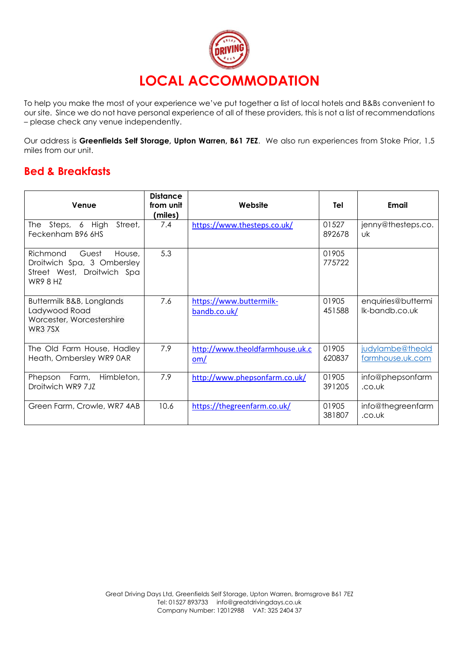

To help you make the most of your experience we've put together a list of local hotels and B&Bs convenient to our site. Since we do not have personal experience of all of these providers, this is not a list of recommendations – please check any venue independently.

Our address is **Greenfields Self Storage, Upton Warren, B61 7EZ**. We also run experiences from Stoke Prior, 1.5 miles from our unit.

## **Bed & Breakfasts**

| Venue                                                                                                      | <b>Distance</b><br>from unit<br>(miles) | Website                                 | Tel             | Email                                |
|------------------------------------------------------------------------------------------------------------|-----------------------------------------|-----------------------------------------|-----------------|--------------------------------------|
| Steps, 6 High<br>Street,<br>The I<br>Feckenham B96 6HS                                                     | 7.4                                     | https://www.thesteps.co.uk/             | 01527<br>892678 | jenny@thesteps.co.<br>Uk             |
| Guest<br>Richmond<br>House,<br>Droitwich Spa, 3 Ombersley<br>Street West, Droitwich Spa<br><b>WR9 8 HZ</b> | 5.3                                     |                                         | 01905<br>775722 |                                      |
| Buttermilk B&B, Longlands<br>Ladywood Road<br>Worcester, Worcestershire<br>WR3 7SX                         | 7.6                                     | https://www.buttermilk-<br>bandb.co.uk/ | 01905<br>451588 | enquiries@buttermi<br>lk-bandb.co.uk |
| The Old Farm House, Hadley<br>Heath, Ombersley WR9 0AR                                                     | 7.9                                     | http://www.theoldfarmhouse.uk.c<br>om/  | 01905<br>620837 | judylambe@theold<br>farmhouse.uk.com |
| Himbleton,<br>Farm,<br>Phepson<br>Droitwich WR9 7JZ                                                        | 7.9                                     | http://www.phepsonfarm.co.uk/           | 01905<br>391205 | info@phepsonfarm<br>.co.uk           |
| Green Farm, Crowle, WR7 4AB                                                                                | 10.6                                    | https://thegreenfarm.co.uk/             | 01905<br>381807 | info@thegreenfarm<br>.co.uk          |